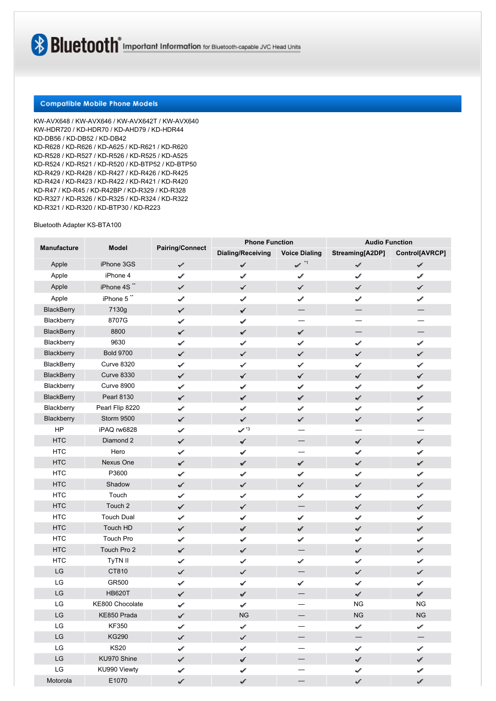# **Compatible Mobile Phone Models**

KW-AVX648 / KW-AVX646 / KW-AVX642T / KW-AVX640 KW-HDR720 / KD-HDR70 / KD-AHD79 / KD-HDR44 KD-DB56 / KD-DB52 / KD-DB42 KD-R628 / KD-R626 / KD-A625 / KD-R621 / KD-R620 KD-R528 / KD-R527 / KD-R526 / KD-R525 / KD-A525 KD-R524 / KD-R521 / KD-R520 / KD-BTP52 / KD-BTP50 KD-R429 / KD-R428 / KD-R427 / KD-R426 / KD-R425 KD-R424 / KD-R423 / KD-R422 / KD-R421 / KD-R420 KD-R47 / KD-R45 / KD-R42BP / KD-R329 / KD-R328 KD-R327 / KD-R326 / KD-R325 / KD-R324 / KD-R322 KD-R321 / KD-R320 / KD-BTP30 / KD-R223

## Bluetooth Adapter KS-BTA100

| Manufacture                | Model             | <b>Pairing/Connect</b> | <b>Phone Function</b>       |                               | <b>Audio Function</b>       |                             |
|----------------------------|-------------------|------------------------|-----------------------------|-------------------------------|-----------------------------|-----------------------------|
|                            |                   |                        | <b>Dialing/Receiving</b>    | <b>Voice Dialing</b>          | Streaming[A2DP]             | Control[AVRCP]              |
| Apple                      | iPhone 3GS        | ✓                      | سمي                         | $\mathcal{S} \xrightarrow{H}$ | $\mathcal{J}$               | $\mathcal{J}$               |
| Apple                      | iPhone 4          | ✔                      | $\mathcal{J}$               | $\mathcal{I}$                 | ✔                           | $\mathcal{I}$               |
| Apple                      | iPhone 4S**       | $\checkmark$           | $\checkmark$                | ✓                             | ✓                           | $\checkmark$                |
| Apple                      | iPhone 5"         | سمي                    | حمية                        | ✔                             | ✓                           | ✓                           |
| <b>BlackBerry</b>          | 7130g             | ✓                      | √                           | $\overbrace{\phantom{13333}}$ | $\overline{\phantom{0}}$    |                             |
| Blackberry                 | 8707G             | ✓                      | $\mathcal{I}$               |                               |                             |                             |
| <b>BlackBerry</b>          | 8800              | ✓                      | $\varphi^{\mathcal{E}}$     | $\omega^{\prime}$             |                             |                             |
| Blackberry                 | 9630              | V                      | v.                          | $\mathcal{L}$                 | v                           | Í                           |
| Blackberry                 | <b>Bold 9700</b>  | سمية                   | ✓                           | بممها                         | سمية                        | ✓                           |
| BlackBerry                 | <b>Curve 8320</b> | ✓                      | $\checkmark$                | ✓                             | ✓                           | $\checkmark$                |
| <b>BlackBerry</b>          | <b>Curve 8330</b> | $\checkmark$           | ✓                           | $\checkmark$                  | ✔                           | $\checkmark$                |
| Blackberry                 | <b>Curve 8900</b> | ✓                      | سحمها                       | حمية                          | ✔                           | حمية                        |
| <b>BlackBerry</b>          | <b>Pearl 8130</b> | ✓                      | $\omega^{\rho^*}$           | $\varphi^{\rho}$              | $\mathcal{L}^{\mathcal{C}}$ | $\omega^{\mu^{\mu}}$        |
| Blackberry                 | Pearl Flip 8220   | ✔                      | $\mathcal{O}^{(1)}$         | ✔                             | ✓                           | s                           |
| Blackberry                 | Storm 9500        | ✓                      | se <sup>n</sup>             | $\mathcal{L}^{\mathcal{P}}$   | ✓                           | سمعية                       |
| HP                         | iPAQ rw6828       | $\mathscr{I}$          | $\checkmark$ $^{\prime}$ '3 |                               | —                           |                             |
| <b>HTC</b>                 | Diamond 2         | ✓                      | $\checkmark$                |                               | ✓                           | $\checkmark$                |
| <b>HTC</b>                 | Hero              | ✓                      | سمي                         |                               | حميد                        | $\checkmark$                |
| <b>HTC</b>                 | Nexus One         | ✓                      | سحمية                       | $\varphi^{\mathcal{F}}$       | $\mathcal{L}$               | $e^{i^{\theta}}$            |
| <b>HTC</b>                 | P3600             | ✓                      | فحميه                       | حمية                          | فهما                        | حمية                        |
| <b>HTC</b>                 | Shadow            | Í                      | $\omega^{\mu}$              | s                             | ✓                           | ✓                           |
| <b>HTC</b>                 | Touch             | ✓                      | ✓                           | ✓                             | ✓                           | ✓                           |
| <b>HTC</b>                 | Touch 2           | ✓                      | $\checkmark$                |                               | ✓                           | $\checkmark$                |
| <b>HTC</b>                 | <b>Touch Dual</b> | ✓                      | سميد                        | حميا                          | ✔                           | ✔                           |
| <b>HTC</b>                 | Touch HD          | ✓                      | ℐ                           | $\mathcal{I}$                 | $\mathcal{P}$               | $\mathcal{I}$               |
| <b>HTC</b>                 | Touch Pro         | ✓                      | s d                         | حميه                          | ✓                           | حميد                        |
| <b>HTC</b>                 | Touch Pro 2       | ✓                      | سميو                        |                               | ✓                           | É,                          |
| <b>HTC</b>                 | TyTN II           | $\mathcal{S}^{\prime}$ | ✓                           | ✓                             | ✓                           | ✓                           |
| LG                         | CT810             | s                      | ✓                           |                               | ✓                           | $\checkmark$                |
| $\mathsf{L}\mathsf{G}$     | GR500             | ✓                      | ✓                           | ✓                             | √                           | ✓                           |
| LG                         | <b>HB620T</b>     | ✓                      | سحمية                       |                               | $\mathcal{S}^{\mathcal{S}}$ | $\mathcal{I}$               |
| LG                         | KE800 Chocolate   | ✓                      | سحميه                       |                               | <b>NG</b>                   | <b>NG</b>                   |
| LG                         | KE850 Prada       | ✓                      | NG                          |                               | $_{\rm NG}$                 | ${\sf NG}$                  |
| LG                         | KF350             | V                      | v                           |                               | v                           | ✓                           |
| LG                         | <b>KG290</b>      | V.                     | المممه                      |                               |                             |                             |
| LG                         | <b>KS20</b>       | ✔                      | ✓                           | -                             | ✓                           | ✓                           |
| LG                         | KU970 Shine       | ✓                      | المحمد                      |                               | √                           | ✔                           |
| $\ensuremath{\mathsf{LG}}$ | KU990 Viewty      | V                      | سممه                        |                               | $\mathcal{S}^{\mathcal{S}}$ | التحمية                     |
| Motorola                   | E1070             | ✓                      | $\omega^{\mu^{\mu}}$        |                               | s de la                     | $\mathcal{L}^{\mathcal{C}}$ |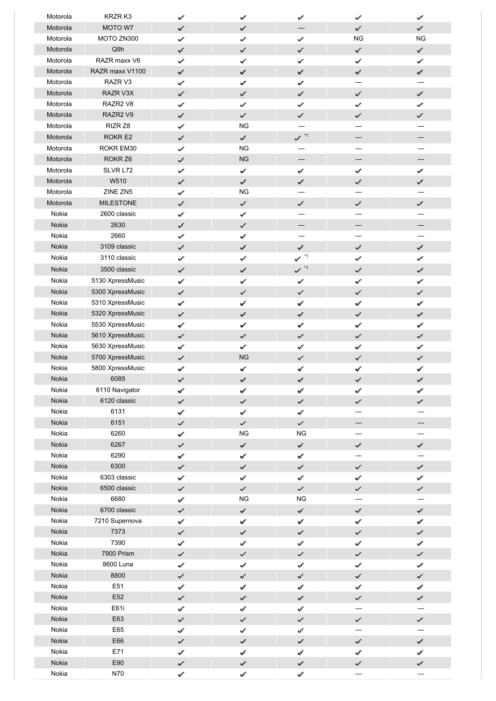| Motorola | KRZR K3            | $\checkmark$  | v                           | √                            | ✔                           | حميه                        |
|----------|--------------------|---------------|-----------------------------|------------------------------|-----------------------------|-----------------------------|
| Motorola | MOTO W7            | ✓             | $\omega^{\mathcal{E}}$      |                              | V                           | a.                          |
| Motorola | MOTO ZN300         | ✓             | ✓                           | ✓                            | <b>NG</b>                   | <b>NG</b>                   |
| Motorola | Q9h                | $\checkmark$  | $\checkmark$                | $\checkmark$                 | $\checkmark$                | ✓                           |
| Motorola | RAZR maxx V6       | ✓             | ✓                           | ✓                            | $\checkmark$                | ✓                           |
| Motorola | RAZR maxx V1100    | ✓             | حميد                        | فتحمينه                      | $\mathcal{L}^{\mathcal{E}}$ | √                           |
| Motorola | RAZR V3            | ✓             | $\omega^\sigma$             | $\mathcal{I}$                |                             |                             |
| Motorola | RAZR V3X           | ✓             | $\omega^{\prime}$           | $\omega^{\mu}$               | ✓                           | فسمعها                      |
| Motorola | RAZR2 V8           | سمي           | $\mathcal{J}$               | ¥                            | $\mathcal{L}$               | ✓                           |
| Motorola | RAZR2 V9           | √             | $\checkmark$                | $\checkmark$                 | $\checkmark$                | ✓                           |
| Motorola | RIZR Z8            | ✓             | <b>NG</b>                   |                              |                             |                             |
| Motorola | ROKR E2            | ✓             | $\omega^{\mathcal{S}}$      | $\sim$ $^{\star}$            |                             |                             |
| Motorola | ROKR EM30          | سما           | <b>NG</b>                   |                              |                             |                             |
| Motorola | ROKR <sub>Z6</sub> | $\checkmark$  | NG                          |                              |                             |                             |
| Motorola | SLVR L72           | ✓             | $\checkmark$                | ✓                            | $\checkmark$                | ✔                           |
| Motorola | W510               | ✓             | $\omega^{\mathcal{E}}$      | $\mathcal{I}$                | $\mathcal{L}$               | af.                         |
| Motorola | ZINE ZN5           | ✔             | <b>NG</b>                   |                              |                             |                             |
| Motorola | <b>MILESTONE</b>   | سميو          | $\omega^{\prime}$           | $\mathcal{L}^{\mathcal{C}}$  | سمية                        | سممه                        |
| Nokia    | 2600 classic       | ✓             | $\mathcal{S}$               |                              |                             |                             |
| Nokia    | 2630               | ✓             | $\checkmark$                |                              |                             |                             |
| Nokia    | 2660               | ✓             | ✓                           |                              |                             |                             |
| Nokia    | 3109 classic       | ✓             | $\omega^F$                  | Í                            | $\mathcal{J}^\ell$          | √                           |
| Nokia    | 3110 classic       |               |                             | $\checkmark$ $^{\star\star}$ |                             |                             |
|          |                    | √             | $\omega^{(i)}$              |                              | ✓                           | ✔                           |
| Nokia    | 3500 classic       | ✓             | $\omega^{\rho^*}$           | $\sim$ $^{\star}$            | $\mathcal{L}^{\mathcal{C}}$ | $\omega^{\prime}$           |
| Nokia    | 5130 XpressMusic   | ✓             | ✓                           | ✓                            | ✓                           | ✓                           |
| Nokia    | 5300 XpressMusic   | ✓             | $\checkmark$                | ✓                            | ✓                           | ✓                           |
| Nokia    | 5310 XpressMusic   | ✓             | $\mathcal{J}$               | سمي                          | ✔                           | ✔                           |
| Nokia    | 5320 XpressMusic   | ✓             | $\omega^{\mathcal{P}}$      | $\omega^{\mathcal{P}}$       | $\mathcal{C}^{\mathcal{E}}$ | $\mathcal{S}^{\mathcal{S}}$ |
| Nokia    | 5530 XpressMusic   | ✓             | $\mathcal{S}$               | فمحما                        | $\mathcal{S}^{\prime}$      | فهما                        |
| Nokia    | 5610 XpressMusic   | ✔             | $\mathbf{e}^{\mathcal{E}}$  | $\mathcal{L}^{\mathcal{E}}$  | ✓                           | $\epsilon^{\prime}$         |
| Nokia    | 5630 XpressMusic   | ✓             | ✔                           | ✓                            | ✓                           | ✓                           |
| Nokia    | 5700 XpressMusic   | ✓             | <b>NG</b>                   | سممه                         | سمي                         | ✓                           |
| Nokia    | 5800 XpressMusic   | $\checkmark$  | ✔                           | ✓                            | ممه                         | سمي                         |
| Nokia    | 6085               | ✓             | $\mathcal{J}$               | حمي                          | $\mathcal{I}$               | √                           |
| Nokia    | 6110 Navigator     | ✓             | حميد                        | سحمية                        | √                           | حميه                        |
| Nokia    | 6120 classic       | V             | $\omega^{\prime}$           | $\mathcal{L}^{\mathcal{E}}$  | $\checkmark$                | لنمية                       |
| Nokia    | 6131               | سمي           | $\omega^{\mathcal{P}}$      | $\omega^{\mu}$               |                             |                             |
| Nokia    | 6151               | ✓             | $\checkmark$                | ✓                            |                             |                             |
| Nokia    | 6260               | $\checkmark$  | $_{\rm NG}$                 | <b>NG</b>                    |                             |                             |
| Nokia    | 6267               | $\checkmark$  | $\checkmark$                | $\mathcal{J}$                | $\mathcal{S}$               | $\mathcal{J}$               |
| Nokia    | 6290               | ✓             | $\mathscr{I}$               | $\mathcal{I}$                |                             |                             |
| Nokia    | 6300               | سميا          | $\omega^{\mathcal{E}}$      | $\omega^{\mu^{\mu}}$         | ✓                           | S.                          |
| Nokia    | 6303 classic       | ✓             | $\mathbf{v}^{\mathcal{E}}$  | v                            | ✓                           | ✓                           |
| Nokia    | 6500 classic       | $\mathcal{L}$ | $\mathcal{L}$               | $\checkmark$                 | $\checkmark$                | $\checkmark$                |
| Nokia    | 6680               | $\mathcal{J}$ | $_{\rm NG}$                 | <b>NG</b>                    |                             |                             |
| Nokia    | 6700 classic       | ✓             | $\checkmark$                | ✔                            | $\mathcal{J}$               | $\mathcal{J}$               |
| Nokia    | 7210 Supernova     | ✓             | $\mathcal{S}$               | سمحته                        | فنحميه                      | حميه                        |
| Nokia    | 7373               | ✓             | $\omega^{\mu^{\prime}}$     | $\omega^{(l)}$               | Ê.                          | $\mathcal{S}^{\mathcal{S}}$ |
| Nokia    | 7390               | ✓             | $\omega^{\mu}$              | $\mathcal{S}$                | ✔                           | √                           |
| Nokia    | 7900 Prism         | $\checkmark$  | $\checkmark$                | $\checkmark$                 | $\mathcal{S}^{\prime}$      | $\checkmark$                |
| Nokia    | 8600 Luna          | ✓             | التحمية                     | سمعية                        | $\mathcal{I}$               | فنحمها                      |
| Nokia    | 8800               | ✓             | $\checkmark$                | ✓                            | $\mathcal{I}$               | $\mathcal{S}$               |
| Nokia    | E51                | ✔             | $\mathcal{I}$               | سمي                          | ✔                           | ✔                           |
| Nokia    | E52                | ✓             | $\varphi^{\sigma}$          | $\mathcal{I}$                | $\mathcal{L}$               | $\omega^{\mathcal{E}}$      |
| Nokia    | E61i               | ✓             | $\omega^{\prime}$           | √                            |                             |                             |
| Nokia    | E63                | $\mathcal{L}$ | $\mathcal{L}^{\mathcal{C}}$ | $\omega^{\mu}$               | $\checkmark$                | $\mathcal{L}^{\mathcal{C}}$ |
| Nokia    | E65                | ✓             | $\checkmark$                | V                            |                             |                             |
| Nokia    | E66                | ✓             | $\omega^{\mu}$              | $\omega^{\mu}$               | $\mathcal{L}$               | التمي                       |
| Nokia    | E71                | ✓             | $\mathcal{I}$               | ✓                            | $\mathcal{S}$               | ✔                           |
| Nokia    | E90                | ✓             | $\varphi^{\sigma}$          | $\mathcal{S}$                | $\mathcal{L}$               | $\mathcal{I}$               |
| Nokia    | N70                | ✓             | $\mathcal{S}$               | $\mathcal{S}$                |                             |                             |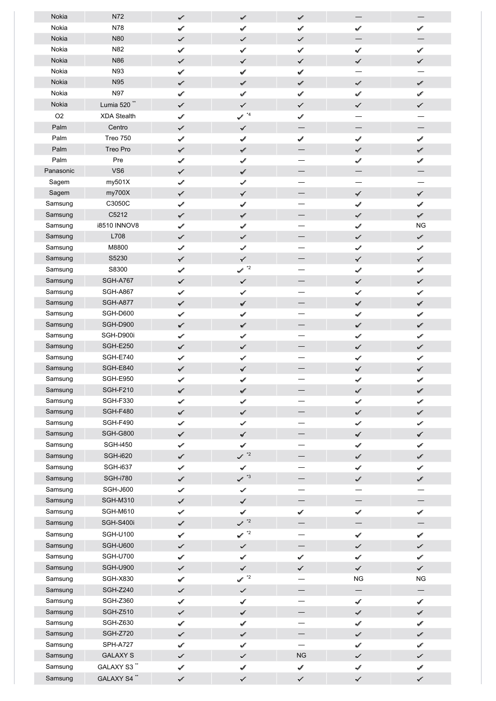| Nokia          | N72                     | ✓                      | as <sup>e</sup>                      | al.                      | $\overline{\phantom{0}}$      |                                    |
|----------------|-------------------------|------------------------|--------------------------------------|--------------------------|-------------------------------|------------------------------------|
| Nokia          | N78                     | ✓                      | a <sup>p</sup>                       | حميد                     | ✓                             | حمية                               |
| Nokia          | N80                     | سمما                   | $\mathcal{L}$                        | سمها                     |                               |                                    |
| Nokia          | N82                     | $\checkmark$           | ✓                                    | ✓                        | ✓                             | ✓                                  |
| Nokia          | N86                     | $\checkmark$           | $\checkmark$                         | ✓                        | $\checkmark$                  | $\checkmark$                       |
| Nokia          | N93                     | ✔                      | حميه                                 | حميه                     |                               |                                    |
| Nokia          | <b>N95</b>              | ✓                      | $\mathscr{I}$                        | $\varphi^{\mathcal{F}}$  | $\mathcal{L}$                 | $\omega^{\mathcal{E}}$             |
| Nokia          | <b>N97</b>              | ممه                    | سموه                                 | $\mathcal{I}$            | ✓                             | حمرو                               |
| Nokia          | Lumia 520 <sup>**</sup> | ✓                      | $\checkmark$                         | ✓                        | $\checkmark$                  | $\checkmark$                       |
| O <sub>2</sub> | <b>XDA Stealth</b>      | ✓                      | $\checkmark$ $^{\star_4}$            | حمد                      |                               |                                    |
| Palm           | Centro                  | ✓                      | ✓                                    |                          | $\qquad \qquad$               |                                    |
| Palm           | <b>Treo 750</b>         | ✓                      | سمي                                  | سمما                     | $\mathcal{L}$                 | حميه                               |
| Palm           | Treo Pro                | ✓                      | $\mathcal{S}^{\mathcal{S}^{\prime}}$ |                          | $\mathcal{L}^{\mathcal{C}}$   | $\varphi^{\beta'}$                 |
| Palm           | Pre                     | ✓                      | حمد                                  |                          | ✔                             | a C                                |
| Panasonic      | VS6                     | ✓                      | $\mathbf{v}^{\mathcal{E}}$           |                          |                               |                                    |
| Sagem          | my501X                  | √                      | ✓                                    |                          |                               |                                    |
| Sagem          | my700X                  | $\checkmark$           | $\checkmark$                         |                          | $\checkmark$                  | $\checkmark$                       |
| Samsung        | C3050C                  | $\mathcal{S}$          | سمي                                  |                          | $\checkmark$                  | $\checkmark$                       |
| Samsung        | C5212                   | ✓                      | $\mathscr{A}$                        |                          | $\mathcal{L}^{\mathcal{C}}$   | $\omega^{\prime}$                  |
| Samsung        | <b>i8510 INNOV8</b>     | ✓                      | al.                                  |                          | حميا                          | <b>NG</b>                          |
| Samsung        | L708                    | ✓                      | st.                                  |                          | ✓                             | ✓                                  |
| Samsung        | M8800                   | سمها                   | ✓                                    |                          | ✓                             | ✓                                  |
| Samsung        | S5230                   | $\checkmark$           | $\checkmark$                         |                          | $\checkmark$                  | $\checkmark$                       |
| Samsung        | S8300                   | $\mathbf{v}^{\prime}$  | $\mathbf{v}^*$                       |                          | $\mathcal{L}^{\mathcal{O}}$   | فنحمط                              |
| Samsung        | <b>SGH-A767</b>         |                        | $\checkmark$                         |                          | $\checkmark$                  | $\checkmark$                       |
| Samsung        | <b>SGH-A867</b>         | ℐ<br>$\checkmark$      | ✓                                    |                          | ✓                             | $\checkmark$                       |
| Samsung        | <b>SGH-A877</b>         |                        | $\mathcal{J}$                        |                          |                               | $\mathcal{J}$                      |
| Samsung        | SGH-D600                | ✓                      |                                      |                          | $\mathcal{J}$<br>$\checkmark$ |                                    |
| Samsung        | SGH-D900                | ✓                      | حميه<br>$\omega^{\rho^*}$            |                          | V.                            | $\mathcal{I}$<br>$\omega^{\prime}$ |
| Samsung        | SGH-D900i               | ✓                      |                                      |                          |                               |                                    |
| Samsung        | <b>SGH-E250</b>         | ✓<br>✓                 | al.<br>✓                             |                          | ✓<br>✓                        | S<br>✓                             |
| Samsung        | <b>SGH-E740</b>         | ✓                      | ✓                                    |                          | ✓                             | ✓                                  |
| Samsung        | <b>SGH-E840</b>         |                        | $\checkmark$                         |                          | $\mathcal{J}$                 |                                    |
| Samsung        | <b>SGH-E950</b>         | $\checkmark$<br>✓      | حميه                                 |                          | v                             | $\checkmark$<br>حميه               |
| Samsung        | <b>SGH-F210</b>         | ✓                      |                                      |                          | $\mathcal{I}$                 |                                    |
| Samsung        | <b>SGH-F330</b>         | ✔                      | v<br>سحوره                           |                          | ✓                             | $\omega^{\mu}$<br>✓                |
| Samsung        | <b>SGH-F480</b>         | سميا                   | $\mathcal{L}$                        |                          | $\checkmark$                  | $\mathcal{L}$                      |
| Samsung        | <b>SGH-F490</b>         | $\mathcal{L}$          | ✓                                    |                          | ✓                             | ✓                                  |
| Samsung        | <b>SGH-G800</b>         | $\checkmark$           | $\checkmark$                         |                          | $\mathcal{J}$                 | $\mathcal{J}$                      |
| Samsung        | <b>SGH-i450</b>         | $\checkmark$           | $\checkmark$                         |                          | $\mathcal{S}$                 | $\mathcal{I}$                      |
| Samsung        | <b>SGH-i620</b>         | ✓                      | $\sim$ $^{*2}$                       |                          | ✓                             | $\mathcal{L}^{\mathcal{C}}$        |
| Samsung        | <b>SGH-i637</b>         |                        | $\checkmark$                         | $\overline{\phantom{0}}$ |                               |                                    |
|                |                         | ✓                      |                                      | —                        | $\checkmark$                  | $\checkmark$                       |
| Samsung        | <b>SGH-i780</b>         | $\checkmark$           | $\sim$ $*3$                          |                          | $\mathcal{L}$                 | $\omega^{\prime}$                  |
| Samsung        | <b>SGH-J600</b>         | $\checkmark$           | ✓                                    |                          |                               |                                    |
| Samsung        | <b>SGH-M310</b>         | $\checkmark$           | $\checkmark$                         | $\qquad \qquad -$        | $\qquad \qquad -$             |                                    |
| Samsung        | <b>SGH-M610</b>         | ✔                      | $\mathcal{I}$                        | سمي                      | $\mathcal{J}$                 | $\mathcal{J}$                      |
| Samsung        | SGH-S400i               | ✓                      | $\sim$ $^{*2}$                       |                          |                               |                                    |
| Samsung        | <b>SGH-U100</b>         | ✓                      | $\swarrow$ $^{\star 2}$              |                          | $\mathcal{J}$                 | $\mathcal{I}$                      |
| Samsung        | <b>SGH-U600</b>         | سميو                   | $\mathcal{S}^{\mathcal{S}}$          |                          | $\checkmark$                  | $\checkmark$                       |
| Samsung        | <b>SGH-U700</b>         | $\mathcal{L}$          | $\checkmark$                         | ✓                        | ✓                             | ✓                                  |
| Samsung        | <b>SGH-U900</b>         | $\checkmark$           | $\checkmark$                         | ✓                        | $\mathcal{J}$                 | $\checkmark$                       |
| Samsung        | <b>SGH-X830</b>         | $\checkmark$           | $\swarrow$ $^{\star 2}$              |                          | <b>NG</b>                     | <b>NG</b>                          |
| Samsung        | <b>SGH-Z240</b>         | ✓                      | $\checkmark$                         | —<br>—                   | $\overline{\phantom{0}}$      |                                    |
| Samsung        | <b>SGH-Z360</b>         | $\checkmark$           | $\checkmark$                         |                          | $\mathcal{L}$                 | $\checkmark$                       |
| Samsung        | <b>SGH-Z510</b>         | $\checkmark$           | ✓                                    |                          | $\mathcal{I}$                 | $\mathcal{I}$                      |
| Samsung        | <b>SGH-Z630</b>         | ✓                      | حميه                                 |                          | $\mathcal{L}$                 | $\mathcal{S}$                      |
| Samsung        | <b>SGH-Z720</b>         | ✓                      | $\omega^{\rho^*}$                    |                          | لبمها                         | $\omega^{\beta}$                   |
| Samsung        | <b>SPH-A727</b>         | $\mathcal{S}^{\prime}$ | حميه                                 | $\overline{\phantom{0}}$ | ✓                             | ✓                                  |
| Samsung        | <b>GALAXY S</b>         | $\checkmark$           | ✓                                    | ${\sf NG}$               | ✓                             | $\checkmark$                       |
| Samsung        | GALAXY S3"              | $\checkmark$           | $\mathcal{I}$                        | $\mathcal{S}$            | $\checkmark$                  | $\mathcal{I}$                      |
| Samsung        | GALAXY S4"              | $\checkmark$           | $\checkmark$                         | $\checkmark$             | $\checkmark$                  | $\checkmark$                       |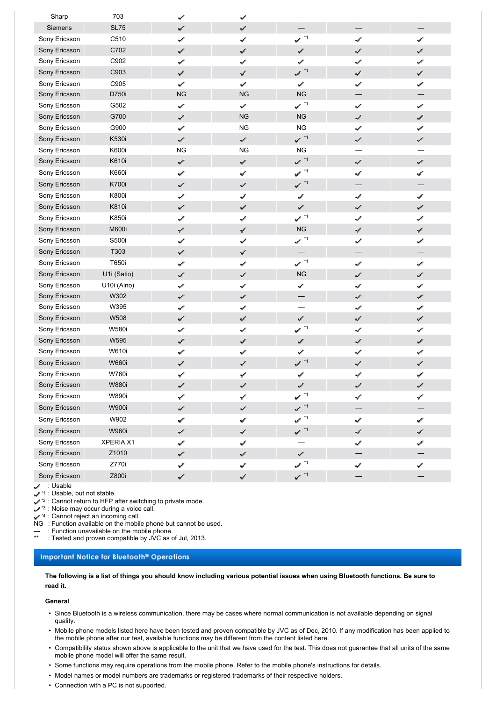| Sharp          | 703          | ✔                      | si                          |                                    |                             |                             |
|----------------|--------------|------------------------|-----------------------------|------------------------------------|-----------------------------|-----------------------------|
| <b>Siemens</b> | <b>SL75</b>  | ✓                      | $\omega^{\mathcal{P}}$      |                                    |                             |                             |
| Sony Ericsson  | C510         | ✔                      | ✓                           | $\mathcal{P}^{(n)}$                | ✔                           | ✓                           |
| Sony Ericsson  | C702         | ✓                      | af .                        | $\omega^{\mathcal{P}}$             | سمع                         | $\mathbf{v}^{\mathcal{E}}$  |
| Sony Ericsson  | C902         | ✓                      | حميد                        | $\mathcal{L}^{\mathcal{E}}$        | ✓                           | سمعا                        |
| Sony Ericsson  | C903         | $\checkmark$           | $\checkmark$                | $\mathcal{L}$ $\mathcal{L}$        | $\mathcal{J}$               | √                           |
| Sony Ericsson  | C905         | ✓                      | حمد                         | $\mathcal{L}^{\mathcal{E}}$        | ✓                           | حمية                        |
| Sony Ericsson  | D750i        | <b>NG</b>              | <b>NG</b>                   | NG                                 |                             |                             |
| Sony Ericsson  | G502         | $\mathcal{S}$          | الممد                       | $\checkmark$ $\checkmark$          | $\checkmark$                | $\checkmark$                |
| Sony Ericsson  | G700         | ✓                      | NG                          | <b>NG</b>                          | $\mathcal{P}^\prime$        | $\mathcal{I}$               |
| Sony Ericsson  | G900         | ✓                      | <b>NG</b>                   | <b>NG</b>                          | حميه                        | حميه                        |
| Sony Ericsson  | K530i        | سمبد                   | $\checkmark$                | $\checkmark$ *1                    | ✓                           | ✓                           |
| Sony Ericsson  | K600i        | <b>NG</b>              | <b>NG</b>                   | <b>NG</b>                          | —                           |                             |
| Sony Ericsson  | K610i        | ✓                      | $\omega^{\mathcal{E}}$      | $\mathcal{L}$ $\mathcal{A}$        | $\mathcal{L}$               | $\omega^{\beta'}$           |
| Sony Ericsson  | K660i        | ✓                      | $\checkmark$                | $\mathcal{P}^{^{(2)}}$             | $\checkmark$                | $\checkmark$                |
| Sony Ericsson  | <b>K700i</b> | سميو                   | سمية                        | $\checkmark$ <sup>*1</sup>         |                             |                             |
| Sony Ericsson  | <b>K800i</b> | ✓                      | سممه                        | v                                  | سمي                         | بحميه                       |
| Sony Ericsson  | K810i        | ✓                      | $\omega^{\mathcal{F}}$      | $\omega^{\mathcal{E}}$             | $\mathcal{S}^{\mathcal{S}}$ | $\varphi^{\beta}$           |
| Sony Ericsson  | K850i        | √                      | ✔                           | $\checkmark$ $\checkmark$          | ✓                           | Í                           |
| Sony Ericsson  | <b>M600i</b> | ✓                      | $\checkmark$                | ${\sf NG}$                         | $\checkmark$                | $\mathcal{J}$               |
| Sony Ericsson  | S500i        | ممو                    | $\omega^{\mathcal{E}}$      | $\checkmark$ $\checkmark$          | ✓                           | حميه                        |
| Sony Ericsson  | T303         | ✓                      | سميد                        | $\qquad \qquad -$                  |                             |                             |
| Sony Ericsson  | T650i        | ✓                      | سميد                        | $\sim$ $\sim$                      | $\mathcal{S}$               | $\mathcal{S}$               |
| Sony Ericsson  | U1i (Satio)  | حمد                    | سمها                        | NG                                 | $\checkmark$                | سممهه                       |
| Sony Ericsson  | U10i (Aino)  | √                      | ✓                           | ✓                                  | ✔                           | ✓                           |
| Sony Ericsson  | W302         | $\checkmark$           | بحمده                       |                                    | $\mathcal{L}^{\mathcal{E}}$ | التمريد                     |
| Sony Ericsson  | W395         | ✓                      | سممه                        |                                    | فنمو                        | حميه                        |
| Sony Ericsson  | W508         | √                      | $\omega^{\mathcal{P}}$      | s f                                | ✓                           | $\omega^{\beta}$            |
| Sony Ericsson  | <b>W580i</b> | ✓                      | ✓                           | $\checkmark$ $^{\star\star}$       | ✓                           | ✓                           |
| Sony Ericsson  | W595         | ✓                      | st                          | ¥                                  | of .                        | $\varphi^{\beta}$           |
| Sony Ericsson  | W610i        | ✓                      | al.                         | حمية                               | ✓                           | √                           |
| Sony Ericsson  | <b>W660i</b> | √                      | ✓                           | $\mathcal{I}$ $\sim$               | $\checkmark$                | ✓                           |
| Sony Ericsson  | <b>W760i</b> | ✓                      | s                           | حميد                               | حميد                        | v                           |
| Sony Ericsson  | <b>W880i</b> | ✓                      | $\omega^{\prime}$           | $\mathcal{L}^{\mathcal{E}}$        | ✓                           | $\omega^{\prime}$           |
| Sony Ericsson  | <b>W890i</b> | $\checkmark$           | ✓                           | $\blacktriangledown$ $\frac{1}{1}$ | $\checkmark$                | ✓                           |
| Sony Ericsson  | <b>W900i</b> | $\mathcal{L}$          | $\omega^{\mu^{\mu}}$        | $\checkmark$ $\checkmark$          |                             |                             |
| Sony Ericsson  | W902         | ✓                      | $\mathcal{S}^{\mathcal{P}}$ | $\checkmark$ $^{\star\uparrow}$    | $\mathcal{S}$               | $\mathcal{S}$               |
| Sony Ericsson  | <b>W960i</b> | $\checkmark$           | $\checkmark$                | $\mathcal{P} \right.^*1$           | $\mathcal{J}'$              | $\mathcal{J}$               |
| Sony Ericsson  | XPERIA X1    | ✓                      | $\mathcal{L}$               |                                    | ✓                           | $\mathcal{S}^{\mathcal{S}}$ |
| Sony Ericsson  | Z1010        | $\mathcal{S}^{\prime}$ | $\omega^{\mu}$              | $\omega^{\prime}$                  |                             |                             |
| Sony Ericsson  | Z770i        | ✓                      | ✓                           | $\checkmark$ $\checkmark$          | $\checkmark$                | $\checkmark$                |
| Sony Ericsson  | Z800i        | $\checkmark$           | $\checkmark$                | $\checkmark$ *1                    |                             |                             |

: Usable

 $\mathcal{L}^*$ <sup>1</sup> : Usable, but not stable.

 $\mathcal{L}^2$  : Cannot return to HFP after switching to private mode.

 $\swarrow$ <sup>3</sup> : Noise may occur during a voice call.

 $\sqrt{4}$  : Cannot reject an incoming call.

NG : Function available on the mobile phone but cannot be used.

— : Function unavailable on the mobile phone.

: Tested and proven compatible by JVC as of Jul, 2013.

## **Important Notice for Bluetooth® Operations**

**The following is a list of things you should know including various potential issues when using Bluetooth functions. Be sure to read it.**

### **General**

- Since Bluetooth is a wireless communication, there may be cases where normal communication is not available depending on signal quality.
- Mobile phone models listed here have been tested and proven compatible by JVC as of Dec, 2010. If any modification has been applied to the mobile phone after our test, available functions may be different from the content listed here.
- Compatibility status shown above is applicable to the unit that we have used for the test. This does not guarantee that all units of the same mobile phone model will offer the same result.
- Some functions may require operations from the mobile phone. Refer to the mobile phone's instructions for details.
- Model names or model numbers are trademarks or registered trademarks of their respective holders.
- Connection with a PC is not supported.